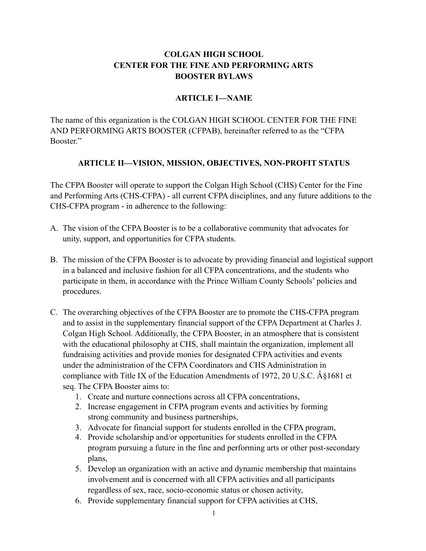# **COLGAN HIGH SCHOOL CENTER FOR THE FINE AND PERFORMING ARTS BOOSTER BYLAWS**

### **ARTICLE I—NAME**

The name of this organization is the COLGAN HIGH SCHOOL CENTER FOR THE FINE AND PERFORMING ARTS BOOSTER (CFPAB), hereinafter referred to as the "CFPA Booster."

### **ARTICLE II—VISION, MISSION, OBJECTIVES, NON-PROFIT STATUS**

The CFPA Booster will operate to support the Colgan High School (CHS) Center for the Fine and Performing Arts (CHS-CFPA) - all current CFPA disciplines, and any future additions to the CHS-CFPA program - in adherence to the following:

- A. The vision of the CFPA Booster is to be a collaborative community that advocates for unity, support, and opportunities for CFPA students.
- B. The mission of the CFPA Booster is to advocate by providing financial and logistical support in a balanced and inclusive fashion for all CFPA concentrations, and the students who participate in them, in accordance with the Prince William County Schools' policies and procedures.
- C. The overarching objectives of the CFPA Booster are to promote the CHS-CFPA program and to assist in the supplementary financial support of the CFPA Department at Charles J. Colgan High School. Additionally, the CFPA Booster, in an atmosphere that is consistent with the educational philosophy at CHS, shall maintain the organization, implement all fundraising activities and provide monies for designated CFPA activities and events under the administration of the CFPA Coordinators and CHS Administration in compliance with Title IX of the Education Amendments of 1972, 20 U.S.C.  $\hat{A}$  \$1681 et seq. The CFPA Booster aims to:
	- 1. Create and nurture connections across all CFPA concentrations,
	- 2. Increase engagement in CFPA program events and activities by forming strong community and business partnerships,
	- 3. Advocate for financial support for students enrolled in the CFPA program,
	- 4. Provide scholarship and/or opportunities for students enrolled in the CFPA program pursuing a future in the fine and performing arts or other post-secondary plans,
	- 5. Develop an organization with an active and dynamic membership that maintains involvement and is concerned with all CFPA activities and all participants regardless of sex, race, socio-economic status or chosen activity,
	- 6. Provide supplementary financial support for CFPA activities at CHS,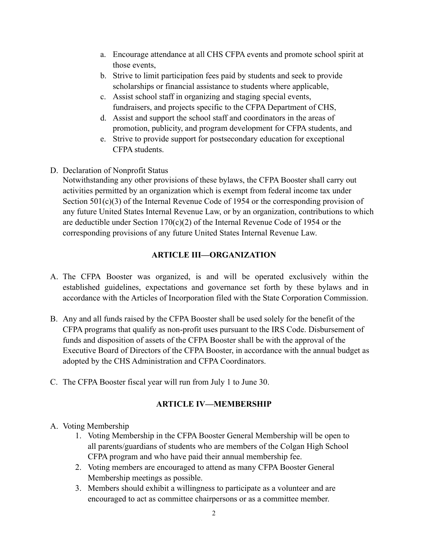- a. Encourage attendance at all CHS CFPA events and promote school spirit at those events,
- b. Strive to limit participation fees paid by students and seek to provide scholarships or financial assistance to students where applicable,
- c. Assist school staff in organizing and staging special events, fundraisers, and projects specific to the CFPA Department of CHS,
- d. Assist and support the school staff and coordinators in the areas of promotion, publicity, and program development for CFPA students, and
- e. Strive to provide support for postsecondary education for exceptional CFPA students.
- D. Declaration of Nonprofit Status

Notwithstanding any other provisions of these bylaws, the CFPA Booster shall carry out activities permitted by an organization which is exempt from federal income tax under Section 501(c)(3) of the Internal Revenue Code of 1954 or the corresponding provision of any future United States Internal Revenue Law, or by an organization, contributions to which are deductible under Section  $170(c)(2)$  of the Internal Revenue Code of 1954 or the corresponding provisions of any future United States Internal Revenue Law.

### **ARTICLE III—ORGANIZATION**

- A. The CFPA Booster was organized, is and will be operated exclusively within the established guidelines, expectations and governance set forth by these bylaws and in accordance with the Articles of Incorporation filed with the State Corporation Commission.
- B. Any and all funds raised by the CFPA Booster shall be used solely for the benefit of the CFPA programs that qualify as non-profit uses pursuant to the IRS Code. Disbursement of funds and disposition of assets of the CFPA Booster shall be with the approval of the Executive Board of Directors of the CFPA Booster, in accordance with the annual budget as adopted by the CHS Administration and CFPA Coordinators.
- C. The CFPA Booster fiscal year will run from July 1 to June 30.

# **ARTICLE IV—MEMBERSHIP**

- A. Voting Membership
	- 1. Voting Membership in the CFPA Booster General Membership will be open to all parents/guardians of students who are members of the Colgan High School CFPA program and who have paid their annual membership fee.
	- 2. Voting members are encouraged to attend as many CFPA Booster General Membership meetings as possible.
	- 3. Members should exhibit a willingness to participate as a volunteer and are encouraged to act as committee chairpersons or as a committee member.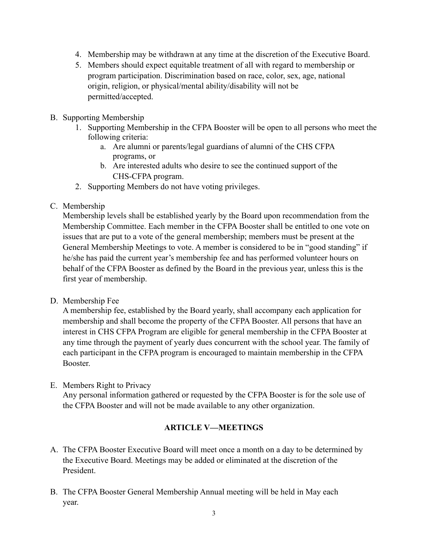- 4. Membership may be withdrawn at any time at the discretion of the Executive Board.
- 5. Members should expect equitable treatment of all with regard to membership or program participation. Discrimination based on race, color, sex, age, national origin, religion, or physical/mental ability/disability will not be permitted/accepted.
- B. Supporting Membership
	- 1. Supporting Membership in the CFPA Booster will be open to all persons who meet the following criteria:
		- a. Are alumni or parents/legal guardians of alumni of the CHS CFPA programs, or
		- b. Are interested adults who desire to see the continued support of the CHS-CFPA program.
	- 2. Supporting Members do not have voting privileges.
- C. Membership

Membership levels shall be established yearly by the Board upon recommendation from the Membership Committee. Each member in the CFPA Booster shall be entitled to one vote on issues that are put to a vote of the general membership; members must be present at the General Membership Meetings to vote. A member is considered to be in "good standing" if he/she has paid the current year's membership fee and has performed volunteer hours on behalf of the CFPA Booster as defined by the Board in the previous year, unless this is the first year of membership.

D. Membership Fee

A membership fee, established by the Board yearly, shall accompany each application for membership and shall become the property of the CFPA Booster. All persons that have an interest in CHS CFPA Program are eligible for general membership in the CFPA Booster at any time through the payment of yearly dues concurrent with the school year. The family of each participant in the CFPA program is encouraged to maintain membership in the CFPA Booster.

E. Members Right to Privacy

Any personal information gathered or requested by the CFPA Booster is for the sole use of the CFPA Booster and will not be made available to any other organization.

### **ARTICLE V—MEETINGS**

- A. The CFPA Booster Executive Board will meet once a month on a day to be determined by the Executive Board. Meetings may be added or eliminated at the discretion of the President.
- B. The CFPA Booster General Membership Annual meeting will be held in May each year.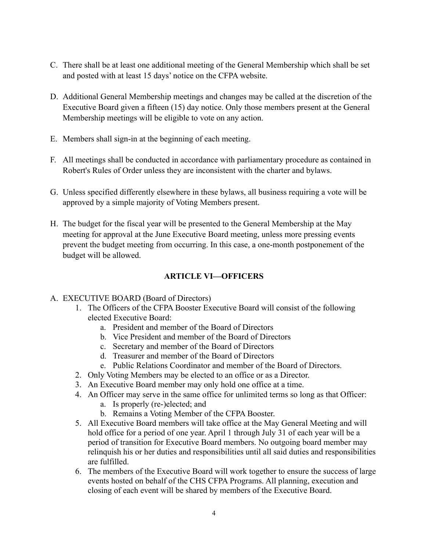- C. There shall be at least one additional meeting of the General Membership which shall be set and posted with at least 15 days' notice on the CFPA website.
- D. Additional General Membership meetings and changes may be called at the discretion of the Executive Board given a fifteen (15) day notice. Only those members present at the General Membership meetings will be eligible to vote on any action.
- E. Members shall sign-in at the beginning of each meeting.
- F. All meetings shall be conducted in accordance with parliamentary procedure as contained in Robert's Rules of Order unless they are inconsistent with the charter and bylaws.
- G. Unless specified differently elsewhere in these bylaws, all business requiring a vote will be approved by a simple majority of Voting Members present.
- H. The budget for the fiscal year will be presented to the General Membership at the May meeting for approval at the June Executive Board meeting, unless more pressing events prevent the budget meeting from occurring. In this case, a one-month postponement of the budget will be allowed.

### **ARTICLE VI—OFFICERS**

#### A. EXECUTIVE BOARD (Board of Directors)

- 1. The Officers of the CFPA Booster Executive Board will consist of the following elected Executive Board:
	- a. President and member of the Board of Directors
	- b. Vice President and member of the Board of Directors
	- c. Secretary and member of the Board of Directors
	- d. Treasurer and member of the Board of Directors
	- e. Public Relations Coordinator and member of the Board of Directors.
- 2. Only Voting Members may be elected to an office or as a Director.
- 3. An Executive Board member may only hold one office at a time.
- 4. An Officer may serve in the same office for unlimited terms so long as that Officer:
	- a. Is properly (re-)elected; and
	- b. Remains a Voting Member of the CFPA Booster.
- 5. All Executive Board members will take office at the May General Meeting and will hold office for a period of one year. April 1 through July 31 of each year will be a period of transition for Executive Board members. No outgoing board member may relinquish his or her duties and responsibilities until all said duties and responsibilities are fulfilled.
- 6. The members of the Executive Board will work together to ensure the success of large events hosted on behalf of the CHS CFPA Programs. All planning, execution and closing of each event will be shared by members of the Executive Board.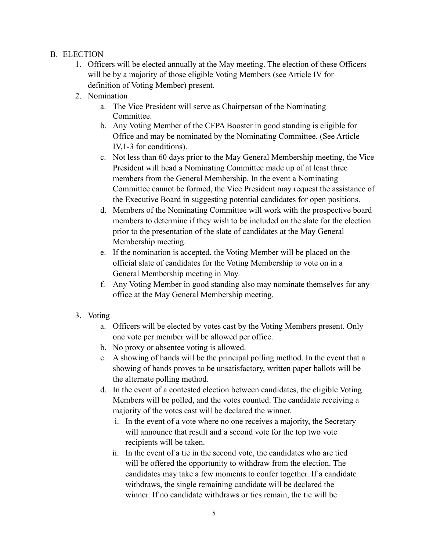### B. ELECTION

- 1. Officers will be elected annually at the May meeting. The election of these Officers will be by a majority of those eligible Voting Members (see Article IV for definition of Voting Member) present.
- 2. Nomination
	- a. The Vice President will serve as Chairperson of the Nominating Committee.
	- b. Any Voting Member of the CFPA Booster in good standing is eligible for Office and may be nominated by the Nominating Committee. (See Article IV,1-3 for conditions).
	- c. Not less than 60 days prior to the May General Membership meeting, the Vice President will head a Nominating Committee made up of at least three members from the General Membership. In the event a Nominating Committee cannot be formed, the Vice President may request the assistance of the Executive Board in suggesting potential candidates for open positions.
	- d. Members of the Nominating Committee will work with the prospective board members to determine if they wish to be included on the slate for the election prior to the presentation of the slate of candidates at the May General Membership meeting.
	- e. If the nomination is accepted, the Voting Member will be placed on the official slate of candidates for the Voting Membership to vote on in a General Membership meeting in May.
	- f. Any Voting Member in good standing also may nominate themselves for any office at the May General Membership meeting.
- 3. Voting
	- a. Officers will be elected by votes cast by the Voting Members present. Only one vote per member will be allowed per office.
	- b. No proxy or absentee voting is allowed.
	- c. A showing of hands will be the principal polling method. In the event that a showing of hands proves to be unsatisfactory, written paper ballots will be the alternate polling method.
	- d. In the event of a contested election between candidates, the eligible Voting Members will be polled, and the votes counted. The candidate receiving a majority of the votes cast will be declared the winner.
		- i. In the event of a vote where no one receives a majority, the Secretary will announce that result and a second vote for the top two vote recipients will be taken.
		- ii. In the event of a tie in the second vote, the candidates who are tied will be offered the opportunity to withdraw from the election. The candidates may take a few moments to confer together. If a candidate withdraws, the single remaining candidate will be declared the winner. If no candidate withdraws or ties remain, the tie will be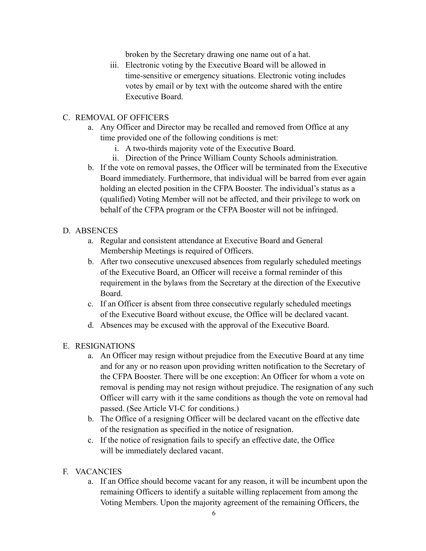broken by the Secretary drawing one name out of a hat.

iii. Electronic voting by the Executive Board will be allowed in time-sensitive or emergency situations. Electronic voting includes votes by email or by text with the outcome shared with the entire Executive Board.

#### C. REMOVAL OF OFFICERS

- a. Any Officer and Director may be recalled and removed from Office at any time provided one of the following conditions is met:
	- i. A two-thirds majority vote of the Executive Board.
	- ii. Direction of the Prince William County Schools administration.
- b. If the vote on removal passes, the Officer will be terminated from the Executive Board immediately. Furthermore, that individual will be barred from ever again holding an elected position in the CFPA Booster. The individual's status as a (qualified) Voting Member will not be affected, and their privilege to work on behalf of the CFPA program or the CFPA Booster will not be infringed.

#### D. ABSENCES

- a. Regular and consistent attendance at Executive Board and General Membership Meetings is required of Officers.
- b. After two consecutive unexcused absences from regularly scheduled meetings of the Executive Board, an Officer will receive a formal reminder of this requirement in the bylaws from the Secretary at the direction of the Executive Board.
- c. If an Officer is absent from three consecutive regularly scheduled meetings of the Executive Board without excuse, the Office will be declared vacant.
- d. Absences may be excused with the approval of the Executive Board.

### E. RESIGNATIONS

- a. An Officer may resign without prejudice from the Executive Board at any time and for any or no reason upon providing written notification to the Secretary of the CFPA Booster. There will be one exception: An Officer for whom a vote on removal is pending may not resign without prejudice. The resignation of any such Officer will carry with it the same conditions as though the vote on removal had passed. (See Article VI-C for conditions.)
- b. The Office of a resigning Officer will be declared vacant on the effective date of the resignation as specified in the notice of resignation.
- c. If the notice of resignation fails to specify an effective date, the Office will be immediately declared vacant.
- F. VACANCIES
	- a. If an Office should become vacant for any reason, it will be incumbent upon the remaining Officers to identify a suitable willing replacement from among the Voting Members. Upon the majority agreement of the remaining Officers, the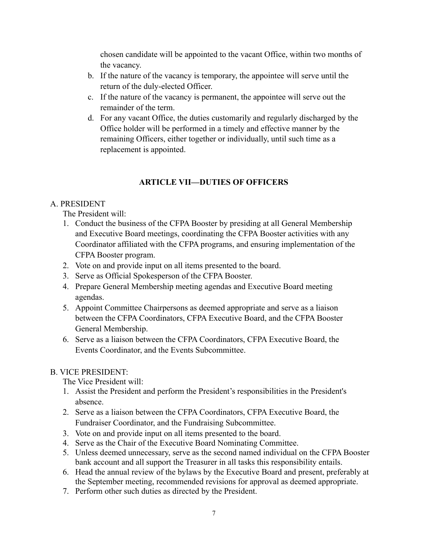chosen candidate will be appointed to the vacant Office, within two months of the vacancy.

- b. If the nature of the vacancy is temporary, the appointee will serve until the return of the duly-elected Officer.
- c. If the nature of the vacancy is permanent, the appointee will serve out the remainder of the term.
- d. For any vacant Office, the duties customarily and regularly discharged by the Office holder will be performed in a timely and effective manner by the remaining Officers, either together or individually, until such time as a replacement is appointed.

# **ARTICLE VII—DUTIES OF OFFICERS**

### A. PRESIDENT

The President will:

- 1. Conduct the business of the CFPA Booster by presiding at all General Membership and Executive Board meetings, coordinating the CFPA Booster activities with any Coordinator affiliated with the CFPA programs, and ensuring implementation of the CFPA Booster program.
- 2. Vote on and provide input on all items presented to the board.
- 3. Serve as Official Spokesperson of the CFPA Booster.
- 4. Prepare General Membership meeting agendas and Executive Board meeting agendas.
- 5. Appoint Committee Chairpersons as deemed appropriate and serve as a liaison between the CFPA Coordinators, CFPA Executive Board, and the CFPA Booster General Membership.
- 6. Serve as a liaison between the CFPA Coordinators, CFPA Executive Board, the Events Coordinator, and the Events Subcommittee.

# B. VICE PRESIDENT:

The Vice President will:

- 1. Assist the President and perform the President's responsibilities in the President's absence.
- 2. Serve as a liaison between the CFPA Coordinators, CFPA Executive Board, the Fundraiser Coordinator, and the Fundraising Subcommittee.
- 3. Vote on and provide input on all items presented to the board.
- 4. Serve as the Chair of the Executive Board Nominating Committee.
- 5. Unless deemed unnecessary, serve as the second named individual on the CFPA Booster bank account and all support the Treasurer in all tasks this responsibility entails.
- 6. Head the annual review of the bylaws by the Executive Board and present, preferably at the September meeting, recommended revisions for approval as deemed appropriate.
- 7. Perform other such duties as directed by the President.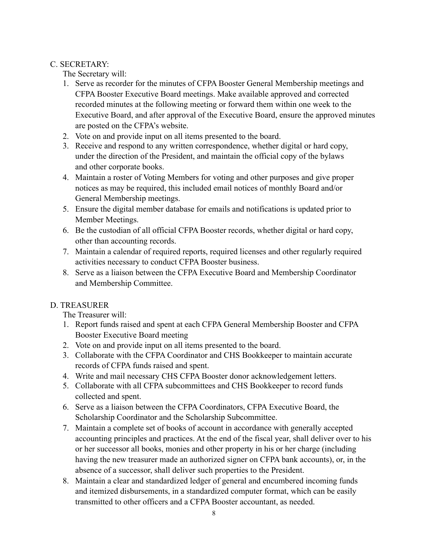### C. SECRETARY:

The Secretary will:

- 1. Serve as recorder for the minutes of CFPA Booster General Membership meetings and CFPA Booster Executive Board meetings. Make available approved and corrected recorded minutes at the following meeting or forward them within one week to the Executive Board, and after approval of the Executive Board, ensure the approved minutes are posted on the CFPA's website.
- 2. Vote on and provide input on all items presented to the board.
- 3. Receive and respond to any written correspondence, whether digital or hard copy, under the direction of the President, and maintain the official copy of the bylaws and other corporate books.
- 4. Maintain a roster of Voting Members for voting and other purposes and give proper notices as may be required, this included email notices of monthly Board and/or General Membership meetings.
- 5. Ensure the digital member database for emails and notifications is updated prior to Member Meetings.
- 6. Be the custodian of all official CFPA Booster records, whether digital or hard copy, other than accounting records.
- 7. Maintain a calendar of required reports, required licenses and other regularly required activities necessary to conduct CFPA Booster business.
- 8. Serve as a liaison between the CFPA Executive Board and Membership Coordinator and Membership Committee.

# D. TREASURER

The Treasurer will:

- 1. Report funds raised and spent at each CFPA General Membership Booster and CFPA Booster Executive Board meeting
- 2. Vote on and provide input on all items presented to the board.
- 3. Collaborate with the CFPA Coordinator and CHS Bookkeeper to maintain accurate records of CFPA funds raised and spent.
- 4. Write and mail necessary CHS CFPA Booster donor acknowledgement letters.
- 5. Collaborate with all CFPA subcommittees and CHS Bookkeeper to record funds collected and spent.
- 6. Serve as a liaison between the CFPA Coordinators, CFPA Executive Board, the Scholarship Coordinator and the Scholarship Subcommittee.
- 7. Maintain a complete set of books of account in accordance with generally accepted accounting principles and practices. At the end of the fiscal year, shall deliver over to his or her successor all books, monies and other property in his or her charge (including having the new treasurer made an authorized signer on CFPA bank accounts), or, in the absence of a successor, shall deliver such properties to the President.
- 8. Maintain a clear and standardized ledger of general and encumbered incoming funds and itemized disbursements, in a standardized computer format, which can be easily transmitted to other officers and a CFPA Booster accountant, as needed.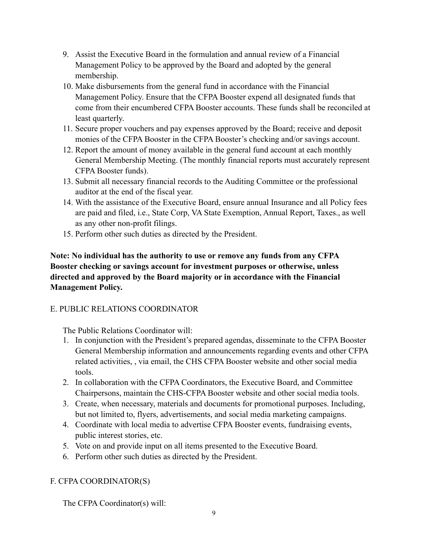- 9. Assist the Executive Board in the formulation and annual review of a Financial Management Policy to be approved by the Board and adopted by the general membership.
- 10. Make disbursements from the general fund in accordance with the Financial Management Policy. Ensure that the CFPA Booster expend all designated funds that come from their encumbered CFPA Booster accounts. These funds shall be reconciled at least quarterly.
- 11. Secure proper vouchers and pay expenses approved by the Board; receive and deposit monies of the CFPA Booster in the CFPA Booster's checking and/or savings account.
- 12. Report the amount of money available in the general fund account at each monthly General Membership Meeting. (The monthly financial reports must accurately represent CFPA Booster funds).
- 13. Submit all necessary financial records to the Auditing Committee or the professional auditor at the end of the fiscal year.
- 14. With the assistance of the Executive Board, ensure annual Insurance and all Policy fees are paid and filed, i.e., State Corp, VA State Exemption, Annual Report, Taxes., as well as any other non-profit filings.
- 15. Perform other such duties as directed by the President.

**Note: No individual has the authority to use or remove any funds from any CFPA Booster checking or savings account for investment purposes or otherwise, unless directed and approved by the Board majority or in accordance with the Financial Management Policy.**

# E. PUBLIC RELATIONS COORDINATOR

The Public Relations Coordinator will:

- 1. In conjunction with the President's prepared agendas, disseminate to the CFPA Booster General Membership information and announcements regarding events and other CFPA related activities, , via email, the CHS CFPA Booster website and other social media tools.
- 2. In collaboration with the CFPA Coordinators, the Executive Board, and Committee Chairpersons, maintain the CHS-CFPA Booster website and other social media tools.
- 3. Create, when necessary, materials and documents for promotional purposes. Including, but not limited to, flyers, advertisements, and social media marketing campaigns.
- 4. Coordinate with local media to advertise CFPA Booster events, fundraising events, public interest stories, etc.
- 5. Vote on and provide input on all items presented to the Executive Board.
- 6. Perform other such duties as directed by the President.

# F. CFPA COORDINATOR(S)

The CFPA Coordinator(s) will: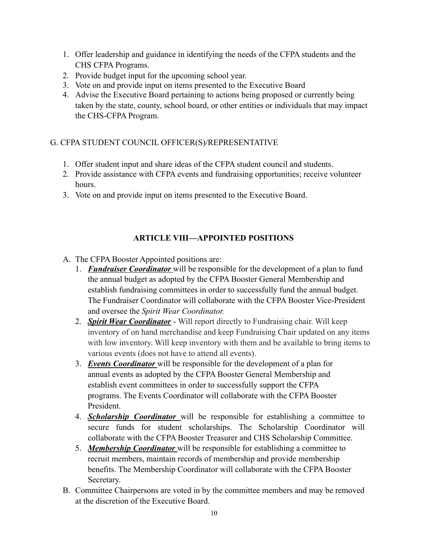- 1. Offer leadership and guidance in identifying the needs of the CFPA students and the CHS CFPA Programs.
- 2. Provide budget input for the upcoming school year.
- 3. Vote on and provide input on items presented to the Executive Board
- 4. Advise the Executive Board pertaining to actions being proposed or currently being taken by the state, county, school board, or other entities or individuals that may impact the CHS-CFPA Program.

# G. CFPA STUDENT COUNCIL OFFICER(S)/REPRESENTATIVE

- 1. Offer student input and share ideas of the CFPA student council and students.
- 2. Provide assistance with CFPA events and fundraising opportunities; receive volunteer hours.
- 3. Vote on and provide input on items presented to the Executive Board.

# **ARTICLE VIII—APPOINTED POSITIONS**

- A. The CFPA Booster Appointed positions are:
	- 1. *Fundraiser Coordinator* will be responsible for the development of a plan to fund the annual budget as adopted by the CFPA Booster General Membership and establish fundraising committees in order to successfully fund the annual budget. The Fundraiser Coordinator will collaborate with the CFPA Booster Vice-President and oversee the *Spirit Wear Coordinator.*
	- 2. *Spirit Wear Coordinator* Will report directly to Fundraising chair. Will keep inventory of on hand merchandise and keep Fundraising Chair updated on any items with low inventory. Will keep inventory with them and be available to bring items to various events (does not have to attend all events).
	- 3. *Events Coordinator* will be responsible for the development of a plan for annual events as adopted by the CFPA Booster General Membership and establish event committees in order to successfully support the CFPA programs. The Events Coordinator will collaborate with the CFPA Booster President.
	- 4. *Scholarship Coordinator* will be responsible for establishing a committee to secure funds for student scholarships. The Scholarship Coordinator will collaborate with the CFPA Booster Treasurer and CHS Scholarship Committee.
	- 5. *Membership Coordinator* will be responsible for establishing a committee to recruit members, maintain records of membership and provide membership benefits. The Membership Coordinator will collaborate with the CFPA Booster Secretary.
- B. Committee Chairpersons are voted in by the committee members and may be removed at the discretion of the Executive Board.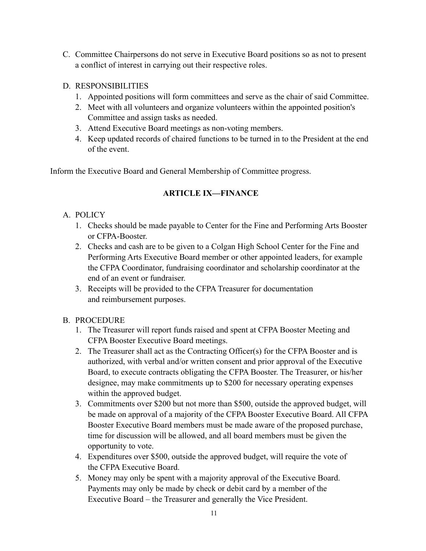- C. Committee Chairpersons do not serve in Executive Board positions so as not to present a conflict of interest in carrying out their respective roles.
- D. RESPONSIBILITIES
	- 1. Appointed positions will form committees and serve as the chair of said Committee.
	- 2. Meet with all volunteers and organize volunteers within the appointed position's Committee and assign tasks as needed.
	- 3. Attend Executive Board meetings as non-voting members.
	- 4. Keep updated records of chaired functions to be turned in to the President at the end of the event.

Inform the Executive Board and General Membership of Committee progress.

# **ARTICLE IX—FINANCE**

# A. POLICY

- 1. Checks should be made payable to Center for the Fine and Performing Arts Booster or CFPA-Booster.
- 2. Checks and cash are to be given to a Colgan High School Center for the Fine and Performing Arts Executive Board member or other appointed leaders, for example the CFPA Coordinator, fundraising coordinator and scholarship coordinator at the end of an event or fundraiser.
- 3. Receipts will be provided to the CFPA Treasurer for documentation and reimbursement purposes.

# B. PROCEDURE

- 1. The Treasurer will report funds raised and spent at CFPA Booster Meeting and CFPA Booster Executive Board meetings.
- 2. The Treasurer shall act as the Contracting Officer(s) for the CFPA Booster and is authorized, with verbal and/or written consent and prior approval of the Executive Board, to execute contracts obligating the CFPA Booster. The Treasurer, or his/her designee, may make commitments up to \$200 for necessary operating expenses within the approved budget.
- 3. Commitments over \$200 but not more than \$500, outside the approved budget, will be made on approval of a majority of the CFPA Booster Executive Board. All CFPA Booster Executive Board members must be made aware of the proposed purchase, time for discussion will be allowed, and all board members must be given the opportunity to vote.
- 4. Expenditures over \$500, outside the approved budget, will require the vote of the CFPA Executive Board.
- 5. Money may only be spent with a majority approval of the Executive Board. Payments may only be made by check or debit card by a member of the Executive Board – the Treasurer and generally the Vice President.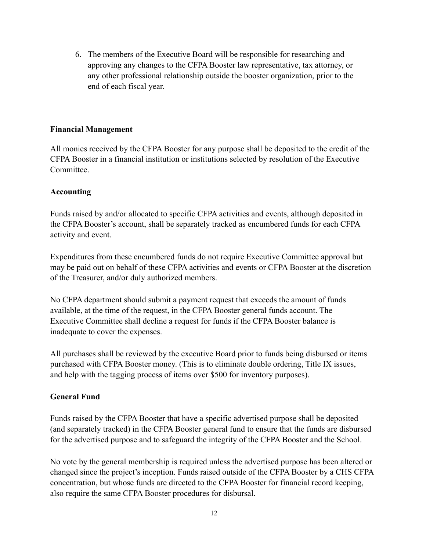6. The members of the Executive Board will be responsible for researching and approving any changes to the CFPA Booster law representative, tax attorney, or any other professional relationship outside the booster organization, prior to the end of each fiscal year.

#### **Financial Management**

All monies received by the CFPA Booster for any purpose shall be deposited to the credit of the CFPA Booster in a financial institution or institutions selected by resolution of the Executive **Committee** 

#### **Accounting**

Funds raised by and/or allocated to specific CFPA activities and events, although deposited in the CFPA Booster's account, shall be separately tracked as encumbered funds for each CFPA activity and event.

Expenditures from these encumbered funds do not require Executive Committee approval but may be paid out on behalf of these CFPA activities and events or CFPA Booster at the discretion of the Treasurer, and/or duly authorized members.

No CFPA department should submit a payment request that exceeds the amount of funds available, at the time of the request, in the CFPA Booster general funds account. The Executive Committee shall decline a request for funds if the CFPA Booster balance is inadequate to cover the expenses.

All purchases shall be reviewed by the executive Board prior to funds being disbursed or items purchased with CFPA Booster money. (This is to eliminate double ordering, Title IX issues, and help with the tagging process of items over \$500 for inventory purposes).

### **General Fund**

Funds raised by the CFPA Booster that have a specific advertised purpose shall be deposited (and separately tracked) in the CFPA Booster general fund to ensure that the funds are disbursed for the advertised purpose and to safeguard the integrity of the CFPA Booster and the School.

No vote by the general membership is required unless the advertised purpose has been altered or changed since the project's inception. Funds raised outside of the CFPA Booster by a CHS CFPA concentration, but whose funds are directed to the CFPA Booster for financial record keeping, also require the same CFPA Booster procedures for disbursal.